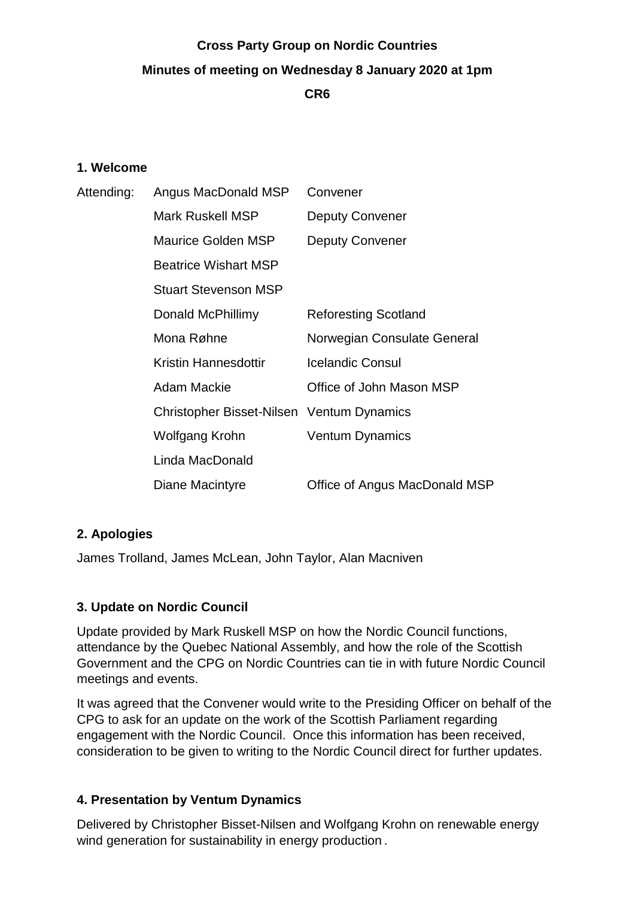# **Cross Party Group on Nordic Countries Minutes of meeting on Wednesday 8 January 2020 at 1pm CR6**

#### **1. Welcome**

| Attending: | Angus MacDonald MSP                       | Convener                      |
|------------|-------------------------------------------|-------------------------------|
|            | Mark Ruskell MSP                          | <b>Deputy Convener</b>        |
|            | <b>Maurice Golden MSP</b>                 | <b>Deputy Convener</b>        |
|            | <b>Beatrice Wishart MSP</b>               |                               |
|            | <b>Stuart Stevenson MSP</b>               |                               |
|            | Donald McPhillimy                         | <b>Reforesting Scotland</b>   |
|            | Mona Røhne                                | Norwegian Consulate General   |
|            | Kristin Hannesdottir                      | <b>Icelandic Consul</b>       |
|            | Adam Mackie                               | Office of John Mason MSP      |
|            | Christopher Bisset-Nilsen Ventum Dynamics |                               |
|            | Wolfgang Krohn                            | <b>Ventum Dynamics</b>        |
|            | Linda MacDonald                           |                               |
|            | Diane Macintyre                           | Office of Angus MacDonald MSP |

### **2. Apologies**

James Trolland, James McLean, John Taylor, Alan Macniven

### **3. Update on Nordic Council**

Update provided by Mark Ruskell MSP on how the Nordic Council functions, attendance by the Quebec National Assembly, and how the role of the Scottish Government and the CPG on Nordic Countries can tie in with future Nordic Council meetings and events.

It was agreed that the Convener would write to the Presiding Officer on behalf of the CPG to ask for an update on the work of the Scottish Parliament regarding engagement with the Nordic Council. Once this information has been received, consideration to be given to writing to the Nordic Council direct for further updates.

## **4. Presentation by Ventum Dynamics**

Delivered by Christopher Bisset-Nilsen and Wolfgang Krohn on renewable energy wind generation for sustainability in energy production .